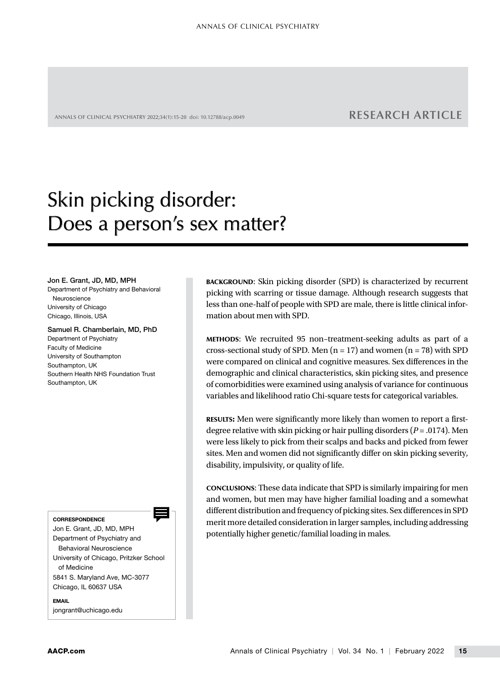ANNALS OF CLINICAL PSYCHIATRY 2022;34(1):15-20 doi: 10.12788/acp.0049 **RESEARCH ARTICLE**

# Skin picking disorder: Does a person's sex matter?

#### Jon E. Grant, JD, MD, MPH

Department of Psychiatry and Behavioral Neuroscience University of Chicago Chicago, Illinois, USA

#### Samuel R. Chamberlain, MD, PhD

Department of Psychiatry Faculty of Medicine University of Southampton Southampton, UK Southern Health NHS Foundation Trust Southampton, UK

CORRESPONDENCE

Jon E. Grant, JD, MD, MPH Department of Psychiatry and Behavioral Neuroscience University of Chicago, Pritzker School of Medicine 5841 S. Maryland Ave, MC-3077 Chicago, IL 60637 USA

**EMAIL** 

[jongrant@uchicago.edu](mailto:jongrant@uchicago.edu)

BACKGROUND: Skin picking disorder (SPD) is characterized by recurrent picking with scarring or tissue damage. Although research suggests that less than one-half of people with SPD are male, there is little clinical information about men with SPD.

METHODS: We recruited 95 non–treatment-seeking adults as part of a cross-sectional study of SPD. Men  $(n = 17)$  and women  $(n = 78)$  with SPD were compared on clinical and cognitive measures. Sex differences in the demographic and clinical characteristics, skin picking sites, and presence of comorbidities were examined using analysis of variance for continuous variables and likelihood ratio Chi-square tests for categorical variables.

RESULTS**:** Men were significantly more likely than women to report a firstdegree relative with skin picking or hair pulling disorders (*P* = .0174). Men were less likely to pick from their scalps and backs and picked from fewer sites. Men and women did not significantly differ on skin picking severity, disability, impulsivity, or quality of life.

CONCLUSIONS: These data indicate that SPD is similarly impairing for men and women, but men may have higher familial loading and a somewhat different distribution and frequency of picking sites. Sex differences in SPD merit more detailed consideration in larger samples, including addressing potentially higher genetic/familial loading in males.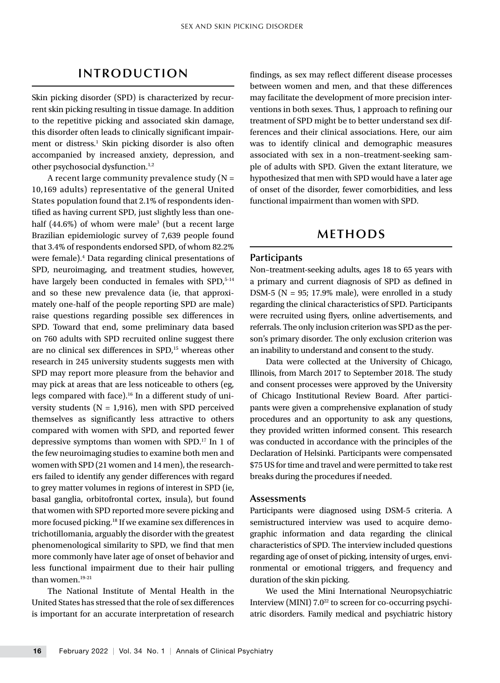## **INTRODUCTION**

Skin picking disorder (SPD) is characterized by recurrent skin picking resulting in tissue damage. In addition to the repetitive picking and associated skin damage, this disorder often leads to clinically significant impairment or distress.<sup>1</sup> Skin picking disorder is also often accompanied by increased anxiety, depression, and other psychosocial dysfunction.<sup>1,2</sup>

A recent large community prevalence study  $(N =$ 10,169 adults) representative of the general United States population found that 2.1% of respondents identified as having current SPD, just slightly less than onehalf (44.6%) of whom were male<sup>3</sup> (but a recent large Brazilian epidemiologic survey of 7,639 people found that 3.4% of respondents endorsed SPD, of whom 82.2% were female).<sup>4</sup> Data regarding clinical presentations of SPD, neuroimaging, and treatment studies, however, have largely been conducted in females with SPD,<sup>5-14</sup> and so these new prevalence data (ie, that approximately one-half of the people reporting SPD are male) raise questions regarding possible sex differences in SPD. Toward that end, some preliminary data based on 760 adults with SPD recruited online suggest there are no clinical sex differences in SPD,<sup>15</sup> whereas other research in 245 university students suggests men with SPD may report more pleasure from the behavior and may pick at areas that are less noticeable to others (eg, legs compared with face).<sup>16</sup> In a different study of university students ( $N = 1,916$ ), men with SPD perceived themselves as significantly less attractive to others compared with women with SPD, and reported fewer depressive symptoms than women with SPD.17 In 1 of the few neuroimaging studies to examine both men and women with SPD (21 women and 14 men), the researchers failed to identify any gender differences with regard to grey matter volumes in regions of interest in SPD (ie, basal ganglia, orbitofrontal cortex, insula), but found that women with SPD reported more severe picking and more focused picking.18 If we examine sex differences in trichotillomania, arguably the disorder with the greatest phenomenological similarity to SPD, we find that men more commonly have later age of onset of behavior and less functional impairment due to their hair pulling than women.<sup>19-21</sup>

The National Institute of Mental Health in the United States has stressed that the role of sex differences is important for an accurate interpretation of research findings, as sex may reflect different disease processes between women and men, and that these differences may facilitate the development of more precision interventions in both sexes. Thus, 1 approach to refining our treatment of SPD might be to better understand sex differences and their clinical associations. Here, our aim was to identify clinical and demographic measures associated with sex in a non–treatment-seeking sample of adults with SPD. Given the extant literature, we hypothesized that men with SPD would have a later age of onset of the disorder, fewer comorbidities, and less functional impairment than women with SPD.

## **METHODS**

#### **Participants**

Non–treatment-seeking adults, ages 18 to 65 years with a primary and current diagnosis of SPD as defined in DSM-5 ( $N = 95$ ; 17.9% male), were enrolled in a study regarding the clinical characteristics of SPD. Participants were recruited using flyers, online advertisements, and referrals. The only inclusion criterion was SPD as the person's primary disorder. The only exclusion criterion was an inability to understand and consent to the study.

Data were collected at the University of Chicago, Illinois, from March 2017 to September 2018. The study and consent processes were approved by the University of Chicago Institutional Review Board. After participants were given a comprehensive explanation of study procedures and an opportunity to ask any questions, they provided written informed consent. This research was conducted in accordance with the principles of the Declaration of Helsinki. Participants were compensated \$75 US for time and travel and were permitted to take rest breaks during the procedures if needed.

#### **Assessments**

Participants were diagnosed using DSM-5 criteria. A semistructured interview was used to acquire demographic information and data regarding the clinical characteristics of SPD. The interview included questions regarding age of onset of picking, intensity of urges, environmental or emotional triggers, and frequency and duration of the skin picking.

We used the Mini International Neuropsychiatric Interview (MINI) 7.0<sup>22</sup> to screen for co-occurring psychiatric disorders. Family medical and psychiatric history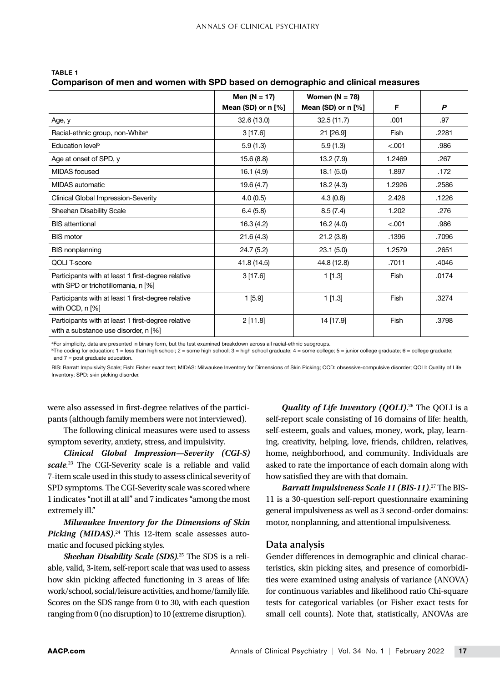|                                                                                            | Men ( $N = 17$ )     | Women $(N = 78)$     |        |       |
|--------------------------------------------------------------------------------------------|----------------------|----------------------|--------|-------|
|                                                                                            | Mean (SD) or $n$ [%] | Mean (SD) or $n$ [%] | F      | P     |
| Age, y                                                                                     | 32.6 (13.0)          | 32.5(11.7)           | .001   | .97   |
| Racial-ethnic group, non-White <sup>a</sup>                                                | 3[17.6]              | 21 [26.9]            | Fish   | .2281 |
| Education level <sup>b</sup>                                                               | 5.9(1.3)             | 5.9(1.3)             | < .001 | .986  |
| Age at onset of SPD, y                                                                     | 15.6 (8.8)           | 13.2 (7.9)           | 1.2469 | .267  |
| <b>MIDAS</b> focused                                                                       | 16.1 (4.9)           | 18.1(5.0)            | 1.897  | .172  |
| MIDAS automatic                                                                            | 19.6 (4.7)           | 18.2(4.3)            | 1.2926 | .2586 |
| Clinical Global Impression-Severity                                                        | 4.0(0.5)             | 4.3(0.8)             | 2.428  | .1226 |
| Sheehan Disability Scale                                                                   | 6.4(5.8)             | 8.5(7.4)             | 1.202  | .276  |
| <b>BIS</b> attentional                                                                     | 16.3(4.2)            | 16.2(4.0)            | < .001 | .986  |
| <b>BIS motor</b>                                                                           | 21.6(4.3)            | 21.2(3.8)            | .1396  | .7096 |
| <b>BIS nonplanning</b>                                                                     | 24.7(5.2)            | 23.1(5.0)            | 1.2579 | .2651 |
| QOLI T-score                                                                               | 41.8 (14.5)          | 44.8 (12.8)          | .7011  | .4046 |
| Participants with at least 1 first-degree relative<br>with SPD or trichotillomania, n [%]  | 3[17.6]              | 1[1.3]               | Fish   | .0174 |
| Participants with at least 1 first-degree relative<br>with OCD, $n$ [%]                    | 1 [5.9]              | 1[1.3]               | Fish   | .3274 |
| Participants with at least 1 first-degree relative<br>with a substance use disorder, n [%] | 2[11.8]              | 14 [17.9]            | Fish   | .3798 |

#### TABLE 1

### Comparison of men and women with SPD based on demographic and clinical measures

aFor simplicity, data are presented in binary form, but the test examined breakdown across all racial-ethnic subgroups.

 $b$ The coding for education: 1 = less than high school; 2 = some high school; 3 = high school graduate; 4 = some college; 5 = junior college graduate; 6 = college graduate; and  $7 =$  post graduate education.

BIS: Barratt Impulsivity Scale; Fish: Fisher exact test; MIDAS: Milwaukee Inventory for Dimensions of Skin Picking; OCD: obsessive-compulsive disorder; QOLI: Quality of Life Inventory; SPD: skin picking disorder.

were also assessed in first-degree relatives of the participants (although family members were not interviewed).

The following clinical measures were used to assess symptom severity, anxiety, stress, and impulsivity.

*Clinical Global Impression—Severity (CGI-S) scale.* <sup>23</sup> The CGI-Severity scale is a reliable and valid 7-item scale used in this study to assess clinical severity of SPD symptoms. The CGI-Severity scale was scored where 1 indicates "not ill at all" and 7 indicates "among the most extremely ill."

*Milwaukee Inventory for the Dimensions of Skin*  Picking (MIDAS).<sup>24</sup> This 12-item scale assesses automatic and focused picking styles.

*Sheehan Disability Scale (SDS).* <sup>25</sup> The SDS is a reliable, valid, 3-item, self-report scale that was used to assess how skin picking affected functioning in 3 areas of life: work/school, social/leisure activities, and home/family life. Scores on the SDS range from 0 to 30, with each question ranging from 0 (no disruption) to 10 (extreme disruption).

*Quality of Life Inventory (QOLI)*. 26 The QOLI is a self-report scale consisting of 16 domains of life: health, self-esteem, goals and values, money, work, play, learning, creativity, helping, love, friends, children, relatives, home, neighborhood, and community. Individuals are asked to rate the importance of each domain along with how satisfied they are with that domain.

*Barratt Impulsiveness Scale 11 (BIS-11)*. 27 The BIS-11 is a 30-question self-report questionnaire examining general impulsiveness as well as 3 second-order domains: motor, nonplanning, and attentional impulsiveness.

#### **Data analysis**

Gender differences in demographic and clinical characteristics, skin picking sites, and presence of comorbidities were examined using analysis of variance (ANOVA) for continuous variables and likelihood ratio Chi-square tests for categorical variables (or Fisher exact tests for small cell counts). Note that, statistically, ANOVAs are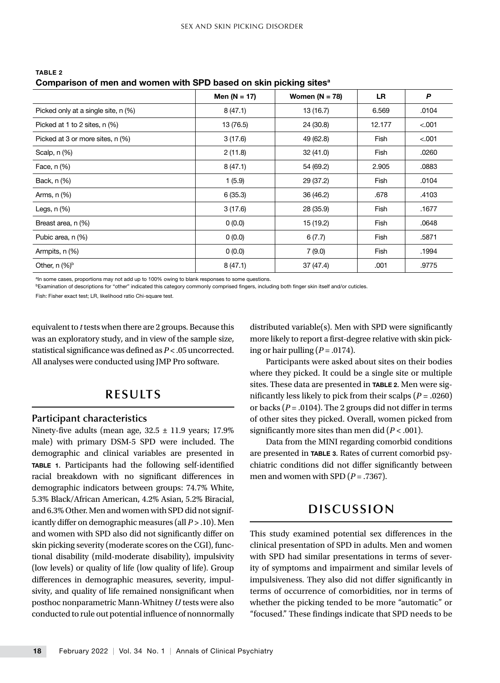|                                     | Men $(N = 17)$ | Women $(N = 78)$ | <b>LR</b>   | P      |  |  |
|-------------------------------------|----------------|------------------|-------------|--------|--|--|
| Picked only at a single site, n (%) | 8(47.1)        | 13 (16.7)        | 6.569       | .0104  |  |  |
| Picked at 1 to 2 sites, n (%)       | 13 (76.5)      | 24 (30.8)        | 12.177      | < .001 |  |  |
| Picked at 3 or more sites, n (%)    | 3(17.6)        | 49 (62.8)        | Fish        | < .001 |  |  |
| Scalp, n (%)                        | 2(11.8)        | 32 (41.0)        | Fish        | .0260  |  |  |
| Face, n (%)                         | 8(47.1)        | 54 (69.2)        | 2.905       | .0883  |  |  |
| Back, n (%)                         | 1(5.9)         | 29 (37.2)        | Fish        | .0104  |  |  |
| Arms, n (%)                         | 6(35.3)        | 36 (46.2)        | .678        | .4103  |  |  |
| Legs, $n$ $(\%)$                    | 3(17.6)        | 28 (35.9)        | Fish        | .1677  |  |  |
| Breast area, n (%)                  | 0(0.0)         | 15 (19.2)        | Fish        | .0648  |  |  |
| Pubic area, n (%)                   | 0(0.0)         | 6(7.7)           | <b>Fish</b> | .5871  |  |  |
| Armpits, n (%)                      | 0(0.0)         | 7(9.0)           | Fish        | .1994  |  |  |
| Other, $n$ (%) <sup>b</sup>         | 8(47.1)        | 37 (47.4)        | .001        | .9775  |  |  |
|                                     |                |                  |             |        |  |  |

TABLE 2 Comparison of men and women with SPD based on skin picking sites<sup>a</sup>

aIn some cases, proportions may not add up to 100% owing to blank responses to some questions

bExamination of descriptions for "other" indicated this category commonly comprised fingers, including both finger skin itself and/or cuticles.

Fish: Fisher exact test; LR, likelihood ratio Chi-square test.

equivalent to *t* tests when there are 2 groups. Because this was an exploratory study, and in view of the sample size, statistical significance was defined as *P* < .05 uncorrected. All analyses were conducted using JMP Pro software.

## **RESULTS**

#### **Participant characteristics**

Ninety-five adults (mean age,  $32.5 \pm 11.9$  years; 17.9% male) with primary DSM-5 SPD were included. The demographic and clinical variables are presented in TABLE 1. Participants had the following self-identified racial breakdown with no significant differences in demographic indicators between groups: 74.7% White, 5.3% Black/African American, 4.2% Asian, 5.2% Biracial, and 6.3% Other. Men and women with SPD did not significantly differ on demographic measures (all *P* > .10). Men and women with SPD also did not significantly differ on skin picking severity (moderate scores on the CGI), functional disability (mild-moderate disability), impulsivity (low levels) or quality of life (low quality of life). Group differences in demographic measures, severity, impulsivity, and quality of life remained nonsignificant when posthoc nonparametric Mann-Whitney *U* tests were also conducted to rule out potential influence of nonnormally distributed variable(s). Men with SPD were significantly more likely to report a first-degree relative with skin picking or hair pulling  $(P=.0174)$ .

Participants were asked about sites on their bodies where they picked. It could be a single site or multiple sites. These data are presented in TABLE 2. Men were significantly less likely to pick from their scalps (*P* = .0260) or backs ( $P = .0104$ ). The 2 groups did not differ in terms of other sites they picked. Overall, women picked from significantly more sites than men did ( $P < .001$ ).

Data from the MINI regarding comorbid conditions are presented in TABLE 3. Rates of current comorbid psychiatric conditions did not differ significantly between men and women with SPD  $(P = .7367)$ .

## **DISCUSSION**

This study examined potential sex differences in the clinical presentation of SPD in adults. Men and women with SPD had similar presentations in terms of severity of symptoms and impairment and similar levels of impulsiveness. They also did not differ significantly in terms of occurrence of comorbidities, nor in terms of whether the picking tended to be more "automatic" or "focused." These findings indicate that SPD needs to be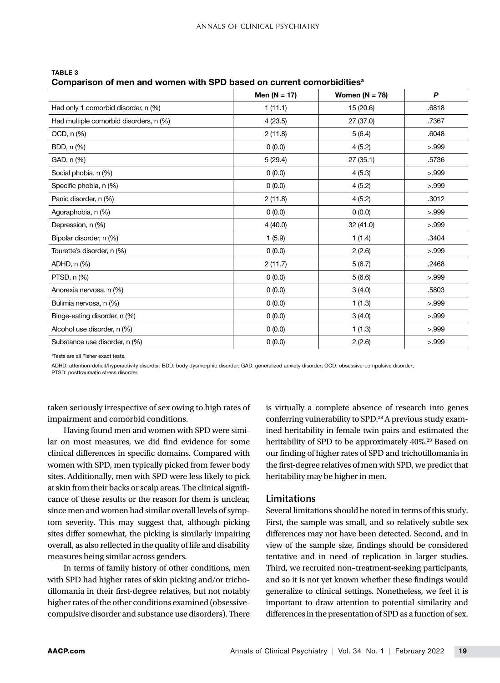|                                        | Men ( $N = 17$ ) | Women $(N = 78)$ | P     |
|----------------------------------------|------------------|------------------|-------|
| Had only 1 comorbid disorder, n (%)    | 1(11.1)          | 15 (20.6)        | .6818 |
| Had multiple comorbid disorders, n (%) | 4(23.5)          | 27 (37.0)        | .7367 |
| OCD, n (%)                             | 2(11.8)          | 5(6.4)           | .6048 |
| BDD, n (%)                             | 0(0.0)           | 4(5.2)           | > 999 |
| GAD, n (%)                             | 5(29.4)          | 27 (35.1)        | .5736 |
| Social phobia, n (%)                   | 0(0.0)           | 4(5.3)           | > 999 |
| Specific phobia, n (%)                 | 0(0.0)           | 4(5.2)           | > 999 |
| Panic disorder, n (%)                  | 2(11.8)          | 4(5.2)           | .3012 |
| Agoraphobia, n (%)                     | 0(0.0)           | 0(0.0)           | > 999 |
| Depression, n (%)                      | 4(40.0)          | 32 (41.0)        | > 999 |
| Bipolar disorder, n (%)                | 1(5.9)           | 1(1.4)           | .3404 |
| Tourette's disorder, n (%)             | 0(0.0)           | 2(2.6)           | > 999 |
| ADHD, n (%)                            | 2(11.7)          | 5(6.7)           | .2468 |
| PTSD, n (%)                            | 0(0.0)           | 5(6.6)           | > 999 |
| Anorexia nervosa, n (%)                | 0(0.0)           | 3(4.0)           | .5803 |
| Bulimia nervosa, n (%)                 | 0(0.0)           | 1(1.3)           | > 999 |
| Binge-eating disorder, n (%)           | 0(0.0)           | 3(4.0)           | > 999 |
| Alcohol use disorder, n (%)            | 0(0.0)           | 1(1.3)           | > 999 |
| Substance use disorder, n (%)          | 0(0.0)           | 2(2.6)           | > 999 |

TABLE 3 Comparison of men and women with SPD based on current comorbidities<sup>a</sup>

a Tests are all Fisher exact tests.

ADHD: attention-deficit/hyperactivity disorder; BDD: body dysmorphic disorder; GAD: generalized anxiety disorder; OCD: obsessive-compulsive disorder;

PTSD: posttraumatic stress disorder.

taken seriously irrespective of sex owing to high rates of impairment and comorbid conditions.

Having found men and women with SPD were similar on most measures, we did find evidence for some clinical differences in specific domains. Compared with women with SPD, men typically picked from fewer body sites. Additionally, men with SPD were less likely to pick at skin from their backs or scalp areas. The clinical significance of these results or the reason for them is unclear, since men and women had similar overall levels of symptom severity. This may suggest that, although picking sites differ somewhat, the picking is similarly impairing overall, as also reflected in the quality of life and disability measures being similar across genders.

In terms of family history of other conditions, men with SPD had higher rates of skin picking and/or trichotillomania in their first-degree relatives, but not notably higher rates of the other conditions examined (obsessivecompulsive disorder and substance use disorders). There

is virtually a complete absence of research into genes conferring vulnerability to SPD.<sup>28</sup> A previous study examined heritability in female twin pairs and estimated the heritability of SPD to be approximately 40%.<sup>29</sup> Based on our finding of higher rates of SPD and trichotillomania in the first-degree relatives of men with SPD, we predict that heritability may be higher in men.

#### **Limitations**

Several limitations should be noted in terms of this study. First, the sample was small, and so relatively subtle sex differences may not have been detected. Second, and in view of the sample size, findings should be considered tentative and in need of replication in larger studies. Third, we recruited non–treatment-seeking participants, and so it is not yet known whether these findings would generalize to clinical settings. Nonetheless, we feel it is important to draw attention to potential similarity and differences in the presentation of SPD as a function of sex.